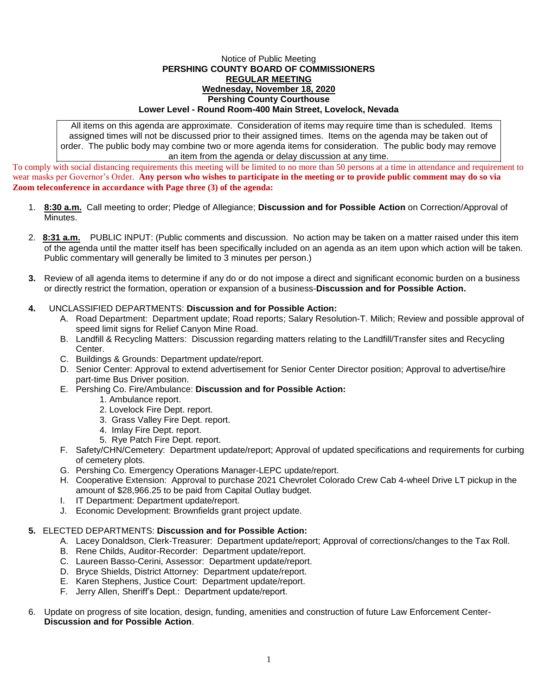## Notice of Public Meeting **PERSHING COUNTY BOARD OF COMMISSIONERS REGULAR MEETING Wednesday, November 18, 2020 Pershing County Courthouse Lower Level - Round Room-400 Main Street, Lovelock, Nevada**

All items on this agenda are approximate. Consideration of items may require time than is scheduled. Items assigned times will not be discussed prior to their assigned times. Items on the agenda may be taken out of order. The public body may combine two or more agenda items for consideration. The public body may remove an item from the agenda or delay discussion at any time.

To comply with social distancing requirements this meeting will be limited to no more than 50 persons at a time in attendance and requirement to wear masks per Governor's Order. **Any person who wishes to participate in the meeting or to provide public comment may do so via Zoom teleconference in accordance with Page three (3) of the agenda:** 

- 1. **8:30 a.m.** Call meeting to order; Pledge of Allegiance; **Discussion and for Possible Action** on Correction/Approval of Minutes.
- 2. **8:31 a.m.** PUBLIC INPUT: (Public comments and discussion. No action may be taken on a matter raised under this item of the agenda until the matter itself has been specifically included on an agenda as an item upon which action will be taken. Public commentary will generally be limited to 3 minutes per person.)
- **3.** Review of all agenda items to determine if any do or do not impose a direct and significant economic burden on a business or directly restrict the formation, operation or expansion of a business-**Discussion and for Possible Action.**

## **4.** UNCLASSIFIED DEPARTMENTS: **Discussion and for Possible Action:**

- A. Road Department: Department update; Road reports; Salary Resolution-T. Milich; Review and possible approval of speed limit signs for Relief Canyon Mine Road.
- B. Landfill & Recycling Matters: Discussion regarding matters relating to the Landfill/Transfer sites and Recycling Center.
- C. Buildings & Grounds: Department update/report.
- D. Senior Center: Approval to extend advertisement for Senior Center Director position; Approval to advertise/hire part-time Bus Driver position.
- E. Pershing Co. Fire/Ambulance: **Discussion and for Possible Action:**
	- 1. Ambulance report.
	- 2. Lovelock Fire Dept. report.
	- 3. Grass Valley Fire Dept. report.
	- 4. Imlay Fire Dept. report.
	- 5. Rye Patch Fire Dept. report.
- F. Safety/CHN/Cemetery: Department update/report; Approval of updated specifications and requirements for curbing of cemetery plots.
- G. Pershing Co. Emergency Operations Manager-LEPC update/report.
- H. Cooperative Extension: Approval to purchase 2021 Chevrolet Colorado Crew Cab 4-wheel Drive LT pickup in the amount of \$28,966.25 to be paid from Capital Outlay budget.
- I. IT Department: Department update/report.
- J. Economic Development: Brownfields grant project update.

## **5.** ELECTED DEPARTMENTS: **Discussion and for Possible Action:**

- A. Lacey Donaldson, Clerk-Treasurer: Department update/report; Approval of corrections/changes to the Tax Roll.
- B. Rene Childs, Auditor-Recorder: Department update/report.
- C. Laureen Basso-Cerini, Assessor: Department update/report.
- D. Bryce Shields, District Attorney: Department update/report.
- E. Karen Stephens, Justice Court: Department update/report.
- F. Jerry Allen, Sheriff's Dept.: Department update/report.
- 6. Update on progress of site location, design, funding, amenities and construction of future Law Enforcement Center-**Discussion and for Possible Action**.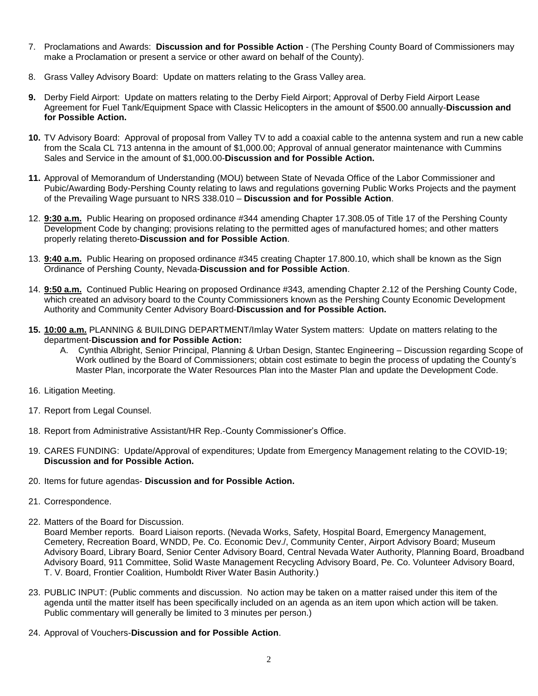- 7. Proclamations and Awards: **Discussion and for Possible Action** (The Pershing County Board of Commissioners may make a Proclamation or present a service or other award on behalf of the County).
- 8. Grass Valley Advisory Board: Update on matters relating to the Grass Valley area.
- **9.** Derby Field Airport: Update on matters relating to the Derby Field Airport; Approval of Derby Field Airport Lease Agreement for Fuel Tank/Equipment Space with Classic Helicopters in the amount of \$500.00 annually-**Discussion and for Possible Action.**
- **10.** TV Advisory Board: Approval of proposal from Valley TV to add a coaxial cable to the antenna system and run a new cable from the Scala CL 713 antenna in the amount of \$1,000.00; Approval of annual generator maintenance with Cummins Sales and Service in the amount of \$1,000.00-**Discussion and for Possible Action.**
- **11.** Approval of Memorandum of Understanding (MOU) between State of Nevada Office of the Labor Commissioner and Pubic/Awarding Body-Pershing County relating to laws and regulations governing Public Works Projects and the payment of the Prevailing Wage pursuant to NRS 338.010 – **Discussion and for Possible Action**.
- 12. **9:30 a.m.** Public Hearing on proposed ordinance #344 amending Chapter 17.308.05 of Title 17 of the Pershing County Development Code by changing; provisions relating to the permitted ages of manufactured homes; and other matters properly relating thereto-**Discussion and for Possible Action**.
- 13. **9:40 a.m.** Public Hearing on proposed ordinance #345 creating Chapter 17.800.10, which shall be known as the Sign Ordinance of Pershing County, Nevada-**Discussion and for Possible Action**.
- 14. **9:50 a.m.** Continued Public Hearing on proposed Ordinance #343, amending Chapter 2.12 of the Pershing County Code, which created an advisory board to the County Commissioners known as the Pershing County Economic Development Authority and Community Center Advisory Board-**Discussion and for Possible Action.**
- **15. 10:00 a.m.** PLANNING & BUILDING DEPARTMENT/Imlay Water System matters: Update on matters relating to the department-**Discussion and for Possible Action:**
	- A. Cynthia Albright, Senior Principal, Planning & Urban Design, Stantec Engineering Discussion regarding Scope of Work outlined by the Board of Commissioners; obtain cost estimate to begin the process of updating the County's Master Plan, incorporate the Water Resources Plan into the Master Plan and update the Development Code.
- 16. Litigation Meeting.
- 17. Report from Legal Counsel.
- 18. Report from Administrative Assistant/HR Rep.-County Commissioner's Office.
- 19. CARES FUNDING: Update/Approval of expenditures; Update from Emergency Management relating to the COVID-19; **Discussion and for Possible Action.**
- 20. Items for future agendas- **Discussion and for Possible Action.**
- 21. Correspondence.
- 22. Matters of the Board for Discussion.

Board Member reports. Board Liaison reports. (Nevada Works, Safety, Hospital Board, Emergency Management, Cemetery, Recreation Board, WNDD, Pe. Co. Economic Dev./, Community Center, Airport Advisory Board; Museum Advisory Board, Library Board, Senior Center Advisory Board, Central Nevada Water Authority, Planning Board, Broadband Advisory Board, 911 Committee, Solid Waste Management Recycling Advisory Board, Pe. Co. Volunteer Advisory Board, T. V. Board, Frontier Coalition, Humboldt River Water Basin Authority.)

- 23. PUBLIC INPUT: (Public comments and discussion. No action may be taken on a matter raised under this item of the agenda until the matter itself has been specifically included on an agenda as an item upon which action will be taken. Public commentary will generally be limited to 3 minutes per person.)
- 24. Approval of Vouchers-**Discussion and for Possible Action**.